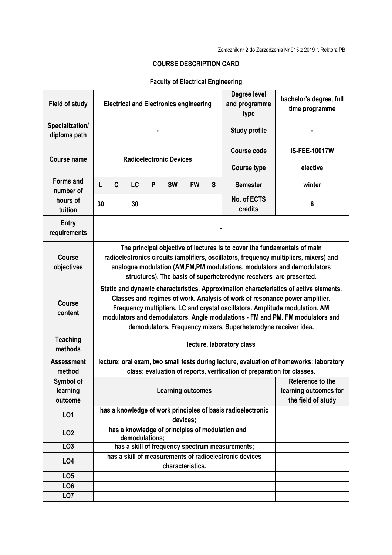| <b>Faculty of Electrical Engineering</b> |                                                                                                                                                                                                                                                                                                                                                                                                        |                                                                   |    |   |           |           |                                                                 |                                                 |                      |  |
|------------------------------------------|--------------------------------------------------------------------------------------------------------------------------------------------------------------------------------------------------------------------------------------------------------------------------------------------------------------------------------------------------------------------------------------------------------|-------------------------------------------------------------------|----|---|-----------|-----------|-----------------------------------------------------------------|-------------------------------------------------|----------------------|--|
| <b>Field of study</b>                    | <b>Electrical and Electronics engineering</b>                                                                                                                                                                                                                                                                                                                                                          |                                                                   |    |   |           |           | Degree level<br>and programme<br>type                           | bachelor's degree, full<br>time programme       |                      |  |
| Specialization/<br>diploma path          | <b>Study profile</b>                                                                                                                                                                                                                                                                                                                                                                                   |                                                                   |    |   |           |           |                                                                 |                                                 |                      |  |
| <b>Course name</b>                       | <b>Radioelectronic Devices</b>                                                                                                                                                                                                                                                                                                                                                                         |                                                                   |    |   |           |           |                                                                 | <b>Course code</b>                              | <b>IS-FEE-10017W</b> |  |
|                                          |                                                                                                                                                                                                                                                                                                                                                                                                        |                                                                   |    |   |           |           |                                                                 | <b>Course type</b>                              | elective             |  |
| <b>Forms and</b><br>number of            | L                                                                                                                                                                                                                                                                                                                                                                                                      | C                                                                 | LC | P | <b>SW</b> | <b>FW</b> | S                                                               | <b>Semester</b>                                 | winter               |  |
| hours of<br>tuition                      | 30                                                                                                                                                                                                                                                                                                                                                                                                     |                                                                   | 30 |   |           |           |                                                                 | No. of ECTS<br>credits                          | 6                    |  |
| <b>Entry</b><br>requirements             |                                                                                                                                                                                                                                                                                                                                                                                                        |                                                                   |    |   |           |           |                                                                 |                                                 |                      |  |
| <b>Course</b><br>objectives              | The principal objective of lectures is to cover the fundamentals of main<br>radioelectronics circuits (amplifiers, oscillators, frequency multipliers, mixers) and<br>analogue modulation (AM, FM, PM modulations, modulators and demodulators<br>structures). The basis of superheterodyne receivers are presented.                                                                                   |                                                                   |    |   |           |           |                                                                 |                                                 |                      |  |
| <b>Course</b><br>content                 | Static and dynamic characteristics. Approximation characteristics of active elements.<br>Classes and regimes of work. Analysis of work of resonance power amplifier.<br>Frequency multipliers. LC and crystal oscillators. Amplitude modulation. AM<br>modulators and demodulators. Angle modulations - FM and PM. FM modulators and<br>demodulators. Frequency mixers. Superheterodyne receiver idea. |                                                                   |    |   |           |           |                                                                 |                                                 |                      |  |
| <b>Teaching</b><br>methods               | lecture, laboratory class                                                                                                                                                                                                                                                                                                                                                                              |                                                                   |    |   |           |           |                                                                 |                                                 |                      |  |
| <b>Assessment</b><br>method              | lecture: oral exam, two small tests during lecture, evaluation of homeworks; laboratory<br>class: evaluation of reports, verification of preparation for classes.                                                                                                                                                                                                                                      |                                                                   |    |   |           |           |                                                                 |                                                 |                      |  |
| Symbol of<br>learning<br>outcome         | <b>Learning outcomes</b>                                                                                                                                                                                                                                                                                                                                                                               |                                                                   |    |   |           |           | Reference to the<br>learning outcomes for<br>the field of study |                                                 |                      |  |
| L01                                      | has a knowledge of work principles of basis radioelectronic<br>devices;                                                                                                                                                                                                                                                                                                                                |                                                                   |    |   |           |           |                                                                 |                                                 |                      |  |
| LO <sub>2</sub>                          |                                                                                                                                                                                                                                                                                                                                                                                                        | has a knowledge of principles of modulation and<br>demodulations; |    |   |           |           |                                                                 |                                                 |                      |  |
| LO3                                      |                                                                                                                                                                                                                                                                                                                                                                                                        |                                                                   |    |   |           |           |                                                                 | has a skill of frequency spectrum measurements; |                      |  |
| <b>LO4</b>                               | has a skill of measurements of radioelectronic devices<br>characteristics.                                                                                                                                                                                                                                                                                                                             |                                                                   |    |   |           |           |                                                                 |                                                 |                      |  |
| LO <sub>5</sub>                          |                                                                                                                                                                                                                                                                                                                                                                                                        |                                                                   |    |   |           |           |                                                                 |                                                 |                      |  |
| LO <sub>6</sub>                          |                                                                                                                                                                                                                                                                                                                                                                                                        |                                                                   |    |   |           |           |                                                                 |                                                 |                      |  |
| LO <sub>7</sub>                          |                                                                                                                                                                                                                                                                                                                                                                                                        |                                                                   |    |   |           |           |                                                                 |                                                 |                      |  |
|                                          |                                                                                                                                                                                                                                                                                                                                                                                                        |                                                                   |    |   |           |           |                                                                 |                                                 |                      |  |

## **COURSE DESCRIPTION CARD**